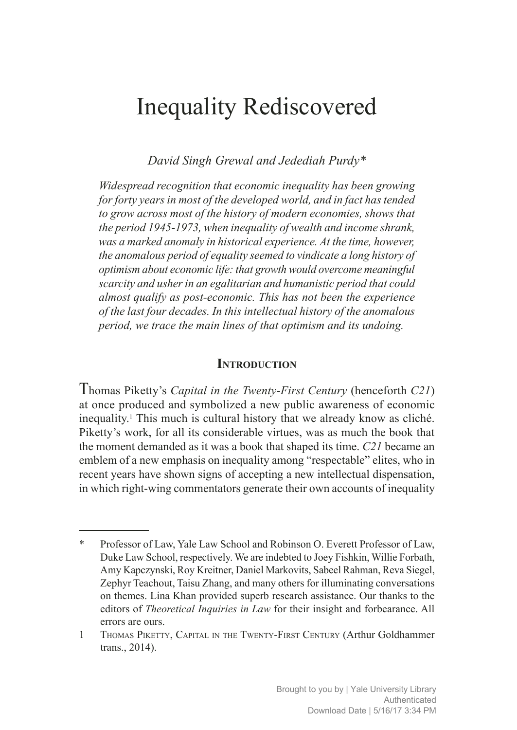# Inequality Rediscovered

*David Singh Grewal and Jedediah Purdy\**

*Widespread recognition that economic inequality has been growing for forty years in most of the developed world, and in fact has tended to grow across most of the history of modern economies, shows that the period 1945-1973, when inequality of wealth and income shrank, was a marked anomaly in historical experience. At the time, however, the anomalous period of equality seemed to vindicate a long history of optimism about economic life: that growth would overcome meaningful scarcity and usher in an egalitarian and humanistic period that could almost qualify as post-economic. This has not been the experience of the last four decades. In this intellectual history of the anomalous period, we trace the main lines of that optimism and its undoing.*

# **INTRODUCTION**

Thomas Piketty's *Capital in the Twenty-First Century* (henceforth *C21*) at once produced and symbolized a new public awareness of economic inequality.1 This much is cultural history that we already know as cliché. Piketty's work, for all its considerable virtues, was as much the book that the moment demanded as it was a book that shaped its time. *C21* became an emblem of a new emphasis on inequality among "respectable" elites, who in recent years have shown signs of accepting a new intellectual dispensation, in which right-wing commentators generate their own accounts of inequality

Professor of Law, Yale Law School and Robinson O. Everett Professor of Law, Duke Law School, respectively. We are indebted to Joey Fishkin, Willie Forbath, Amy Kapczynski, Roy Kreitner, Daniel Markovits, Sabeel Rahman, Reva Siegel, Zephyr Teachout, Taisu Zhang, and many others for illuminating conversations on themes. Lina Khan provided superb research assistance. Our thanks to the editors of *Theoretical Inquiries in Law* for their insight and forbearance. All errors are ours.

<sup>1</sup> Thomas Piketty, Capital in the Twenty-First Century (Arthur Goldhammer trans., 2014).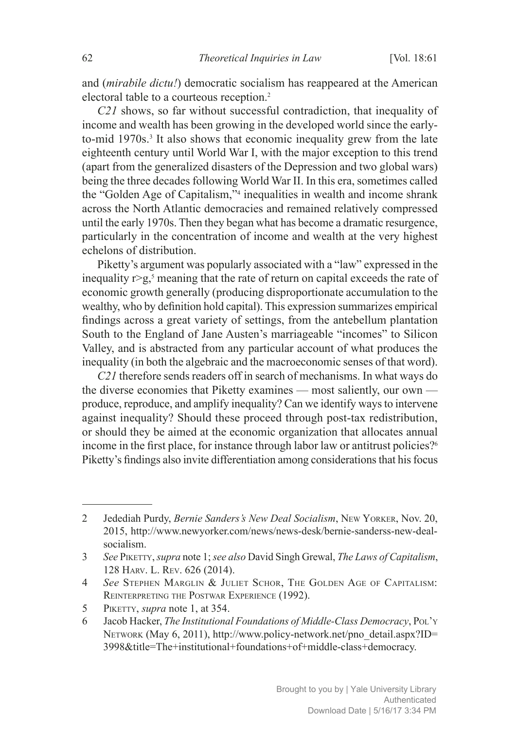and (*mirabile dictu!*) democratic socialism has reappeared at the American electoral table to a courteous reception.2

*C21* shows, so far without successful contradiction, that inequality of income and wealth has been growing in the developed world since the earlyto-mid 1970s.<sup>3</sup> It also shows that economic inequality grew from the late eighteenth century until World War I, with the major exception to this trend (apart from the generalized disasters of the Depression and two global wars) being the three decades following World War II. In this era, sometimes called the "Golden Age of Capitalism,"4 inequalities in wealth and income shrank across the North Atlantic democracies and remained relatively compressed until the early 1970s. Then they began what has become a dramatic resurgence, particularly in the concentration of income and wealth at the very highest echelons of distribution.

Piketty's argument was popularly associated with a "law" expressed in the inequality  $r > g$ ,<sup>5</sup> meaning that the rate of return on capital exceeds the rate of economic growth generally (producing disproportionate accumulation to the wealthy, who by definition hold capital). This expression summarizes empirical findings across a great variety of settings, from the antebellum plantation South to the England of Jane Austen's marriageable "incomes" to Silicon Valley, and is abstracted from any particular account of what produces the inequality (in both the algebraic and the macroeconomic senses of that word).

*C21* therefore sends readers off in search of mechanisms. In what ways do the diverse economies that Piketty examines — most saliently, our own produce, reproduce, and amplify inequality? Can we identify ways to intervene against inequality? Should these proceed through post-tax redistribution, or should they be aimed at the economic organization that allocates annual income in the first place, for instance through labor law or antitrust policies?<sup>6</sup> Piketty's findings also invite differentiation among considerations that his focus

<sup>2</sup> Jedediah Purdy, *Bernie Sanders's New Deal Socialism*, New Yorker, Nov. 20, 2015, http://www.newyorker.com/news/news-desk/bernie-sanderss-new-dealsocialism.

<sup>3</sup> *See* Piketty, *supra* note 1; *see also* David Singh Grewal, *The Laws of Capitalism*, 128 Harv. L. Rev. 626 (2014).

<sup>4</sup> *See* Stephen Marglin & Juliet Schor, The Golden Age of Capitalism: REINTERPRETING THE POSTWAR EXPERIENCE (1992).

<sup>5</sup> Piketty, *supra* note 1, at 354.

<sup>6</sup> Jacob Hacker, *The Institutional Foundations of Middle-Class Democracy*, Pol'y NETWORK (May 6, 2011), http://www.policy-network.net/pno\_detail.aspx?ID= 3998&title=The+institutional+foundations+of+middle-class+democracy.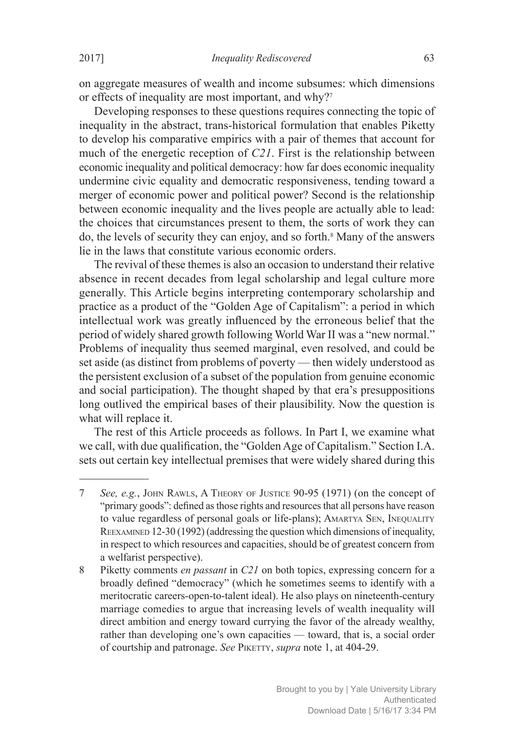on aggregate measures of wealth and income subsumes: which dimensions or effects of inequality are most important, and why?7

Developing responses to these questions requires connecting the topic of inequality in the abstract, trans-historical formulation that enables Piketty to develop his comparative empirics with a pair of themes that account for much of the energetic reception of *C21*. First is the relationship between economic inequality and political democracy: how far does economic inequality undermine civic equality and democratic responsiveness, tending toward a merger of economic power and political power? Second is the relationship between economic inequality and the lives people are actually able to lead: the choices that circumstances present to them, the sorts of work they can do, the levels of security they can enjoy, and so forth.8 Many of the answers lie in the laws that constitute various economic orders.

The revival of these themes is also an occasion to understand their relative absence in recent decades from legal scholarship and legal culture more generally. This Article begins interpreting contemporary scholarship and practice as a product of the "Golden Age of Capitalism": a period in which intellectual work was greatly influenced by the erroneous belief that the period of widely shared growth following World War II was a "new normal." Problems of inequality thus seemed marginal, even resolved, and could be set aside (as distinct from problems of poverty — then widely understood as the persistent exclusion of a subset of the population from genuine economic and social participation). The thought shaped by that era's presuppositions long outlived the empirical bases of their plausibility. Now the question is what will replace it.

The rest of this Article proceeds as follows. In Part I, we examine what we call, with due qualification, the "Golden Age of Capitalism." Section I.A. sets out certain key intellectual premises that were widely shared during this

<sup>7</sup> *See, e.g.*, John Rawls, A Theory of Justice 90-95 (1971) (on the concept of "primary goods": defined as those rights and resources that all persons have reason to value regardless of personal goals or life-plans); Amartya Sen, Inequality Reexamined 12-30 (1992) (addressing the question which dimensions of inequality, in respect to which resources and capacities, should be of greatest concern from a welfarist perspective).

<sup>8</sup> Piketty comments *en passant* in *C21* on both topics, expressing concern for a broadly defined "democracy" (which he sometimes seems to identify with a meritocratic careers-open-to-talent ideal). He also plays on nineteenth-century marriage comedies to argue that increasing levels of wealth inequality will direct ambition and energy toward currying the favor of the already wealthy, rather than developing one's own capacities — toward, that is, a social order of courtship and patronage. *See* Piketty, *supra* note 1, at 404-29.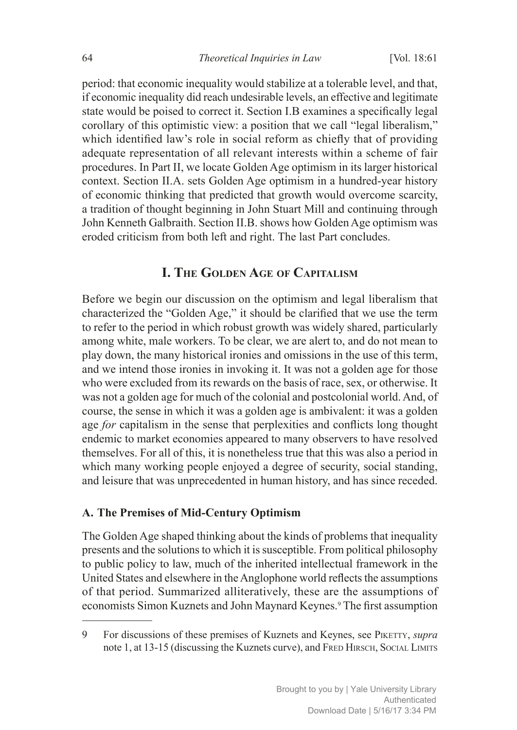period: that economic inequality would stabilize at a tolerable level, and that, if economic inequality did reach undesirable levels, an effective and legitimate state would be poised to correct it. Section I.B examines a specifically legal corollary of this optimistic view: a position that we call "legal liberalism," which identified law's role in social reform as chiefly that of providing adequate representation of all relevant interests within a scheme of fair procedures. In Part II, we locate Golden Age optimism in its larger historical context. Section II.A. sets Golden Age optimism in a hundred-year history of economic thinking that predicted that growth would overcome scarcity, a tradition of thought beginning in John Stuart Mill and continuing through John Kenneth Galbraith. Section II.B. shows how Golden Age optimism was eroded criticism from both left and right. The last Part concludes.

# **I. The Golden Age of Capitalism**

Before we begin our discussion on the optimism and legal liberalism that characterized the "Golden Age," it should be clarified that we use the term to refer to the period in which robust growth was widely shared, particularly among white, male workers. To be clear, we are alert to, and do not mean to play down, the many historical ironies and omissions in the use of this term, and we intend those ironies in invoking it. It was not a golden age for those who were excluded from its rewards on the basis of race, sex, or otherwise. It was not a golden age for much of the colonial and postcolonial world. And, of course, the sense in which it was a golden age is ambivalent: it was a golden age *for* capitalism in the sense that perplexities and conflicts long thought endemic to market economies appeared to many observers to have resolved themselves. For all of this, it is nonetheless true that this was also a period in which many working people enjoyed a degree of security, social standing, and leisure that was unprecedented in human history, and has since receded.

## **A. The Premises of Mid-Century Optimism**

The Golden Age shaped thinking about the kinds of problems that inequality presents and the solutions to which it is susceptible. From political philosophy to public policy to law, much of the inherited intellectual framework in the United States and elsewhere in the Anglophone world reflects the assumptions of that period. Summarized alliteratively, these are the assumptions of economists Simon Kuznets and John Maynard Keynes.<sup>9</sup> The first assumption

<sup>9</sup> For discussions of these premises of Kuznets and Keynes, see PIKETTY, *supra* note 1, at 13-15 (discussing the Kuznets curve), and FRED HIRSCH, SOCIAL LIMITS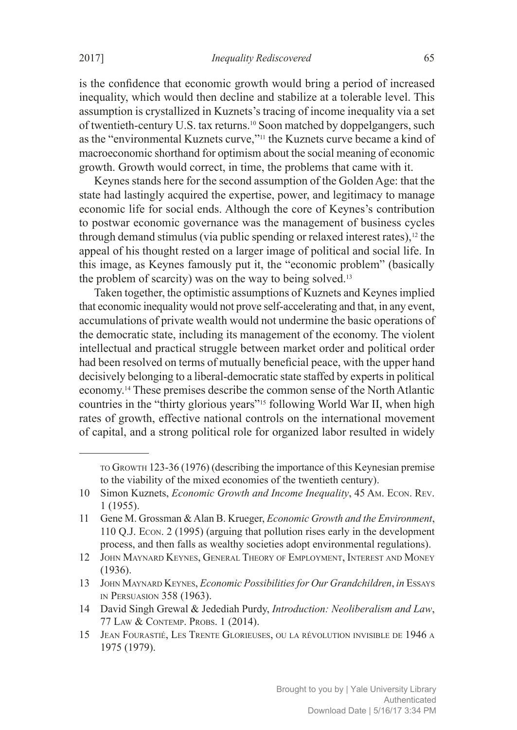is the confidence that economic growth would bring a period of increased inequality, which would then decline and stabilize at a tolerable level. This assumption is crystallized in Kuznets's tracing of income inequality via a set of twentieth-century U.S. tax returns.10 Soon matched by doppelgangers, such as the "environmental Kuznets curve,"11 the Kuznets curve became a kind of macroeconomic shorthand for optimism about the social meaning of economic growth. Growth would correct, in time, the problems that came with it.

Keynes stands here for the second assumption of the Golden Age: that the state had lastingly acquired the expertise, power, and legitimacy to manage economic life for social ends. Although the core of Keynes's contribution to postwar economic governance was the management of business cycles through demand stimulus (via public spending or relaxed interest rates),<sup>12</sup> the appeal of his thought rested on a larger image of political and social life. In this image, as Keynes famously put it, the "economic problem" (basically the problem of scarcity) was on the way to being solved.<sup>13</sup>

Taken together, the optimistic assumptions of Kuznets and Keynes implied that economic inequality would not prove self-accelerating and that, in any event, accumulations of private wealth would not undermine the basic operations of the democratic state, including its management of the economy. The violent intellectual and practical struggle between market order and political order had been resolved on terms of mutually beneficial peace, with the upper hand decisively belonging to a liberal-democratic state staffed by experts in political economy.14 These premises describe the common sense of the North Atlantic countries in the "thirty glorious years"<sup>15</sup> following World War II, when high rates of growth, effective national controls on the international movement of capital, and a strong political role for organized labor resulted in widely

- 12 John Maynard Keynes, General Theory of Employment, Interest and Money (1936).
- 13 John Maynard Keynes, *Economic Possibilities for Our Grandchildren*, *in* Essays in Persuasion 358 (1963).
- 14 David Singh Grewal & Jedediah Purdy, *Introduction: Neoliberalism and Law*, 77 Law & Contemp. Probs. 1 (2014).
- 15 Jean Fourastié, Les Trente Glorieuses, ou la révolution invisible de 1946 <sup>a</sup> 1975 (1979).

to Growth 123-36 (1976) (describing the importance of this Keynesian premise to the viability of the mixed economies of the twentieth century).

<sup>10</sup> Simon Kuznets, *Economic Growth and Income Inequality*, 45 Am. Econ. Rev. 1 (1955).

<sup>11</sup> Gene M. Grossman & Alan B. Krueger, *Economic Growth and the Environment*, 110 Q.J. Econ. 2 (1995) (arguing that pollution rises early in the development process, and then falls as wealthy societies adopt environmental regulations).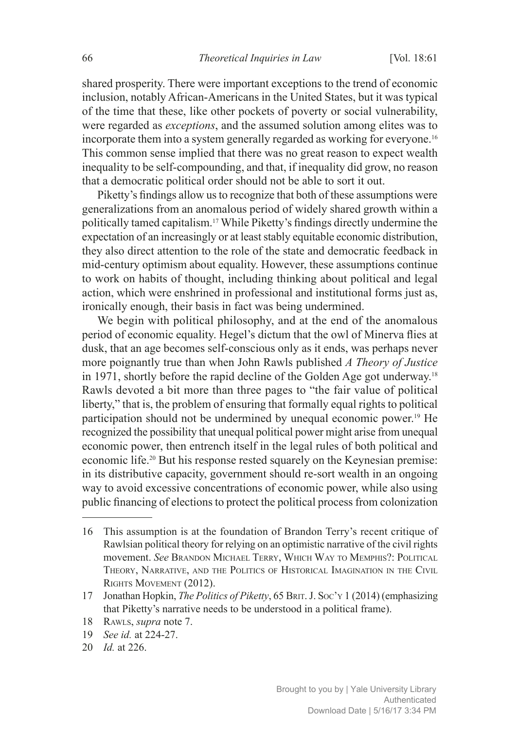shared prosperity. There were important exceptions to the trend of economic inclusion, notably African-Americans in the United States, but it was typical of the time that these, like other pockets of poverty or social vulnerability, were regarded as *exceptions*, and the assumed solution among elites was to incorporate them into a system generally regarded as working for everyone.16 This common sense implied that there was no great reason to expect wealth inequality to be self-compounding, and that, if inequality did grow, no reason that a democratic political order should not be able to sort it out.

Piketty's findings allow us to recognize that both of these assumptions were generalizations from an anomalous period of widely shared growth within a politically tamed capitalism.17 While Piketty's findings directly undermine the expectation of an increasingly or at least stably equitable economic distribution, they also direct attention to the role of the state and democratic feedback in mid-century optimism about equality. However, these assumptions continue to work on habits of thought, including thinking about political and legal action, which were enshrined in professional and institutional forms just as, ironically enough, their basis in fact was being undermined.

We begin with political philosophy, and at the end of the anomalous period of economic equality. Hegel's dictum that the owl of Minerva flies at dusk, that an age becomes self-conscious only as it ends, was perhaps never more poignantly true than when John Rawls published *A Theory of Justice* in 1971, shortly before the rapid decline of the Golden Age got underway.<sup>18</sup> Rawls devoted a bit more than three pages to "the fair value of political liberty," that is, the problem of ensuring that formally equal rights to political participation should not be undermined by unequal economic power.19 He recognized the possibility that unequal political power might arise from unequal economic power, then entrench itself in the legal rules of both political and economic life.20 But his response rested squarely on the Keynesian premise: in its distributive capacity, government should re-sort wealth in an ongoing way to avoid excessive concentrations of economic power, while also using public financing of elections to protect the political process from colonization

19 *See id.* at 224-27.

<sup>16</sup> This assumption is at the foundation of Brandon Terry's recent critique of Rawlsian political theory for relying on an optimistic narrative of the civil rights movement. *See* Brandon Michael Terry, Which Way to Memphis?: Political Theory, Narrative, and the Politics of Historical Imagination in the Civil RIGHTS MOVEMENT (2012).

<sup>17</sup> Jonathan Hopkin, *The Politics of Piketty*, 65 BRIT. J. Soc'y 1 (2014) (emphasizing that Piketty's narrative needs to be understood in a political frame).

<sup>18</sup> Rawls, *supra* note 7.

<sup>20</sup> *Id.* at 226.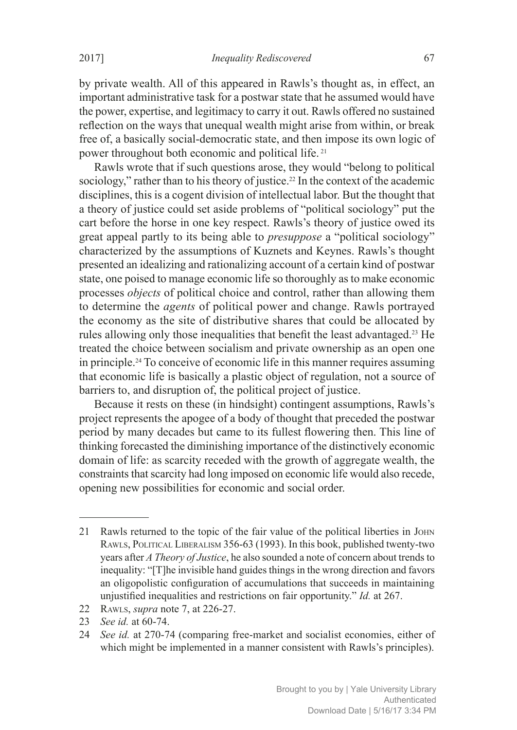by private wealth. All of this appeared in Rawls's thought as, in effect, an important administrative task for a postwar state that he assumed would have the power, expertise, and legitimacy to carry it out. Rawls offered no sustained reflection on the ways that unequal wealth might arise from within, or break free of, a basically social-democratic state, and then impose its own logic of power throughout both economic and political life. <sup>21</sup>

Rawls wrote that if such questions arose, they would "belong to political sociology," rather than to his theory of justice.<sup>22</sup> In the context of the academic disciplines, this is a cogent division of intellectual labor. But the thought that a theory of justice could set aside problems of "political sociology" put the cart before the horse in one key respect. Rawls's theory of justice owed its great appeal partly to its being able to *presuppose* a "political sociology" characterized by the assumptions of Kuznets and Keynes. Rawls's thought presented an idealizing and rationalizing account of a certain kind of postwar state, one poised to manage economic life so thoroughly as to make economic processes *objects* of political choice and control, rather than allowing them to determine the *agents* of political power and change. Rawls portrayed the economy as the site of distributive shares that could be allocated by rules allowing only those inequalities that benefit the least advantaged.23 He treated the choice between socialism and private ownership as an open one in principle.24 To conceive of economic life in this manner requires assuming that economic life is basically a plastic object of regulation, not a source of barriers to, and disruption of, the political project of justice.

Because it rests on these (in hindsight) contingent assumptions, Rawls's project represents the apogee of a body of thought that preceded the postwar period by many decades but came to its fullest flowering then. This line of thinking forecasted the diminishing importance of the distinctively economic domain of life: as scarcity receded with the growth of aggregate wealth, the constraints that scarcity had long imposed on economic life would also recede, opening new possibilities for economic and social order.

<sup>21</sup> Rawls returned to the topic of the fair value of the political liberties in John Rawls, Political Liberalism 356-63 (1993). In this book, published twenty-two years after *A Theory of Justice*, he also sounded a note of concern about trends to inequality: "[T]he invisible hand guides things in the wrong direction and favors an oligopolistic configuration of accumulations that succeeds in maintaining unjustified inequalities and restrictions on fair opportunity." *Id.* at 267.

<sup>22</sup> Rawls, *supra* note 7, at 226-27.

<sup>23</sup> *See id.* at 60-74.

<sup>24</sup> *See id.* at 270-74 (comparing free-market and socialist economies, either of which might be implemented in a manner consistent with Rawls's principles).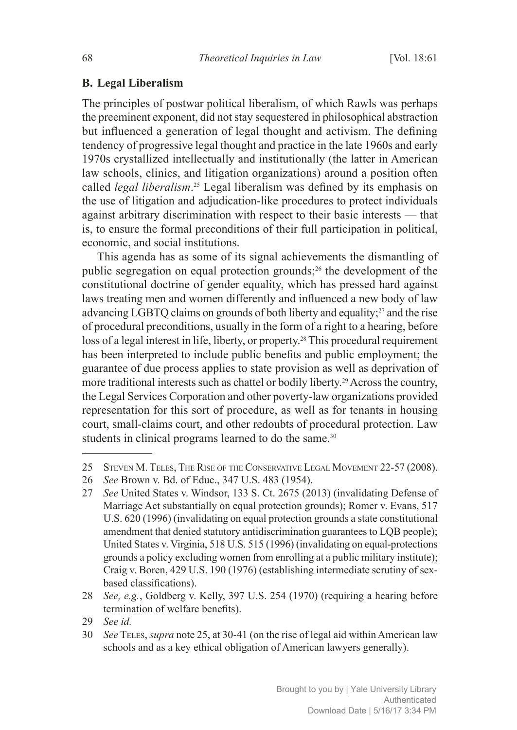### **B. Legal Liberalism**

The principles of postwar political liberalism, of which Rawls was perhaps the preeminent exponent, did not stay sequestered in philosophical abstraction but influenced a generation of legal thought and activism. The defining tendency of progressive legal thought and practice in the late 1960s and early 1970s crystallized intellectually and institutionally (the latter in American law schools, clinics, and litigation organizations) around a position often called *legal liberalism*. <sup>25</sup> Legal liberalism was defined by its emphasis on the use of litigation and adjudication-like procedures to protect individuals against arbitrary discrimination with respect to their basic interests — that is, to ensure the formal preconditions of their full participation in political, economic, and social institutions.

This agenda has as some of its signal achievements the dismantling of public segregation on equal protection grounds;26 the development of the constitutional doctrine of gender equality, which has pressed hard against laws treating men and women differently and influenced a new body of law advancing LGBTO claims on grounds of both liberty and equality;<sup>27</sup> and the rise of procedural preconditions, usually in the form of a right to a hearing, before loss of a legal interest in life, liberty, or property.<sup>28</sup> This procedural requirement has been interpreted to include public benefits and public employment; the guarantee of due process applies to state provision as well as deprivation of more traditional interests such as chattel or bodily liberty.29 Across the country, the Legal Services Corporation and other poverty-law organizations provided representation for this sort of procedure, as well as for tenants in housing court, small-claims court, and other redoubts of procedural protection. Law students in clinical programs learned to do the same.<sup>30</sup>

<sup>25</sup> Steven M. Teles, The Rise of the Conservative Legal Movement 22-57 (2008).

<sup>26</sup> *See* Brown v. Bd. of Educ., 347 U.S. 483 (1954).

<sup>27</sup> *See* United States v. Windsor, 133 S. Ct. 2675 (2013) (invalidating Defense of Marriage Act substantially on equal protection grounds); Romer v. Evans, 517 U.S. 620 (1996) (invalidating on equal protection grounds a state constitutional amendment that denied statutory antidiscrimination guarantees to LQB people); United States v. Virginia, 518 U.S. 515 (1996) (invalidating on equal-protections grounds a policy excluding women from enrolling at a public military institute); Craig v. Boren, 429 U.S. 190 (1976) (establishing intermediate scrutiny of sexbased classifications).

<sup>28</sup> *See, e.g.*, Goldberg v. Kelly, 397 U.S. 254 (1970) (requiring a hearing before termination of welfare benefits).

<sup>29</sup> *See id.*

<sup>30</sup> *See* TELES, *supra* note 25, at 30-41 (on the rise of legal aid within American law schools and as a key ethical obligation of American lawyers generally).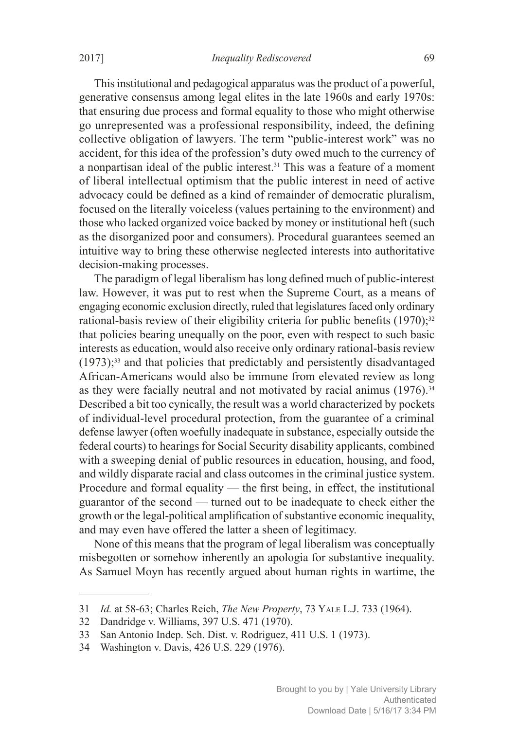This institutional and pedagogical apparatus was the product of a powerful, generative consensus among legal elites in the late 1960s and early 1970s: that ensuring due process and formal equality to those who might otherwise go unrepresented was a professional responsibility, indeed, the defining collective obligation of lawyers. The term "public-interest work" was no accident, for this idea of the profession's duty owed much to the currency of a nonpartisan ideal of the public interest.<sup>31</sup> This was a feature of a moment of liberal intellectual optimism that the public interest in need of active advocacy could be defined as a kind of remainder of democratic pluralism, focused on the literally voiceless (values pertaining to the environment) and those who lacked organized voice backed by money or institutional heft (such as the disorganized poor and consumers). Procedural guarantees seemed an intuitive way to bring these otherwise neglected interests into authoritative decision-making processes.

The paradigm of legal liberalism has long defined much of public-interest law. However, it was put to rest when the Supreme Court, as a means of engaging economic exclusion directly, ruled that legislatures faced only ordinary rational-basis review of their eligibility criteria for public benefits  $(1970)$ ;<sup>32</sup> that policies bearing unequally on the poor, even with respect to such basic interests as education, would also receive only ordinary rational-basis review  $(1973)$ ;<sup>33</sup> and that policies that predictably and persistently disadvantaged African-Americans would also be immune from elevated review as long as they were facially neutral and not motivated by racial animus  $(1976)^{34}$ Described a bit too cynically, the result was a world characterized by pockets of individual-level procedural protection, from the guarantee of a criminal defense lawyer (often woefully inadequate in substance, especially outside the federal courts) to hearings for Social Security disability applicants, combined with a sweeping denial of public resources in education, housing, and food, and wildly disparate racial and class outcomes in the criminal justice system. Procedure and formal equality — the first being, in effect, the institutional guarantor of the second — turned out to be inadequate to check either the growth or the legal-political amplification of substantive economic inequality, and may even have offered the latter a sheen of legitimacy.

None of this means that the program of legal liberalism was conceptually misbegotten or somehow inherently an apologia for substantive inequality. As Samuel Moyn has recently argued about human rights in wartime, the

<sup>31</sup> *Id.* at 58-63; Charles Reich, *The New Property*, 73 Yale L.J. 733 (1964).

<sup>32</sup> Dandridge v. Williams, 397 U.S. 471 (1970).

<sup>33</sup> San Antonio Indep. Sch. Dist. v. Rodriguez, 411 U.S. 1 (1973).

<sup>34</sup> Washington v. Davis, 426 U.S. 229 (1976).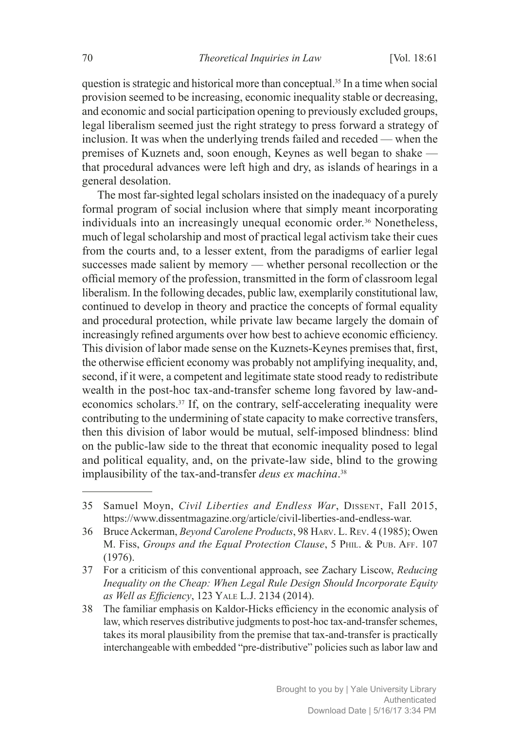question is strategic and historical more than conceptual.35 In a time when social provision seemed to be increasing, economic inequality stable or decreasing, and economic and social participation opening to previously excluded groups, legal liberalism seemed just the right strategy to press forward a strategy of inclusion. It was when the underlying trends failed and receded — when the premises of Kuznets and, soon enough, Keynes as well began to shake that procedural advances were left high and dry, as islands of hearings in a general desolation.

The most far-sighted legal scholars insisted on the inadequacy of a purely formal program of social inclusion where that simply meant incorporating individuals into an increasingly unequal economic order.<sup>36</sup> Nonetheless, much of legal scholarship and most of practical legal activism take their cues from the courts and, to a lesser extent, from the paradigms of earlier legal successes made salient by memory — whether personal recollection or the official memory of the profession, transmitted in the form of classroom legal liberalism. In the following decades, public law, exemplarily constitutional law, continued to develop in theory and practice the concepts of formal equality and procedural protection, while private law became largely the domain of increasingly refined arguments over how best to achieve economic efficiency. This division of labor made sense on the Kuznets-Keynes premises that, first, the otherwise efficient economy was probably not amplifying inequality, and, second, if it were, a competent and legitimate state stood ready to redistribute wealth in the post-hoc tax-and-transfer scheme long favored by law-andeconomics scholars.37 If, on the contrary, self-accelerating inequality were contributing to the undermining of state capacity to make corrective transfers, then this division of labor would be mutual, self-imposed blindness: blind on the public-law side to the threat that economic inequality posed to legal and political equality, and, on the private-law side, blind to the growing implausibility of the tax-and-transfer *deus ex machina*. 38

<sup>35</sup> Samuel Moyn, *Civil Liberties and Endless War*, Dissent, Fall 2015, https://www.dissentmagazine.org/article/civil-liberties-and-endless-war.

<sup>36</sup> Bruce Ackerman, *Beyond Carolene Products*, 98 Harv. L. Rev. 4 (1985); Owen M. Fiss, *Groups and the Equal Protection Clause*, 5 Phil. & Pub. Aff. 107 (1976).

<sup>37</sup> For a criticism of this conventional approach, see Zachary Liscow, *Reducing Inequality on the Cheap: When Legal Rule Design Should Incorporate Equity as Well as Efficiency*, 123 Yale L.J. 2134 (2014).

<sup>38</sup> The familiar emphasis on Kaldor-Hicks efficiency in the economic analysis of law, which reserves distributive judgments to post-hoc tax-and-transfer schemes, takes its moral plausibility from the premise that tax-and-transfer is practically interchangeable with embedded "pre-distributive" policies such as labor law and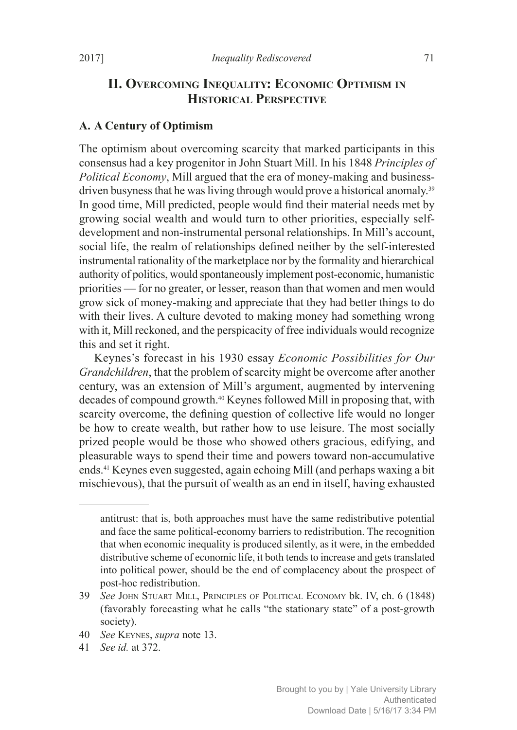# **II. Overcoming Inequality: Economic Optimism in Historical Perspective**

## **A. A Century of Optimism**

The optimism about overcoming scarcity that marked participants in this consensus had a key progenitor in John Stuart Mill. In his 1848 *Principles of Political Economy*, Mill argued that the era of money-making and businessdriven busyness that he was living through would prove a historical anomaly.39 In good time, Mill predicted, people would find their material needs met by growing social wealth and would turn to other priorities, especially selfdevelopment and non-instrumental personal relationships. In Mill's account, social life, the realm of relationships defined neither by the self-interested instrumental rationality of the marketplace nor by the formality and hierarchical authority of politics, would spontaneously implement post-economic, humanistic priorities — for no greater, or lesser, reason than that women and men would grow sick of money-making and appreciate that they had better things to do with their lives. A culture devoted to making money had something wrong with it, Mill reckoned, and the perspicacity of free individuals would recognize this and set it right.

Keynes's forecast in his 1930 essay *Economic Possibilities for Our Grandchildren*, that the problem of scarcity might be overcome after another century, was an extension of Mill's argument, augmented by intervening decades of compound growth.40 Keynes followed Mill in proposing that, with scarcity overcome, the defining question of collective life would no longer be how to create wealth, but rather how to use leisure. The most socially prized people would be those who showed others gracious, edifying, and pleasurable ways to spend their time and powers toward non-accumulative ends.41 Keynes even suggested, again echoing Mill (and perhaps waxing a bit mischievous), that the pursuit of wealth as an end in itself, having exhausted

40 *See* Keynes, *supra* note 13.

antitrust: that is, both approaches must have the same redistributive potential and face the same political-economy barriers to redistribution. The recognition that when economic inequality is produced silently, as it were, in the embedded distributive scheme of economic life, it both tends to increase and gets translated into political power, should be the end of complacency about the prospect of post-hoc redistribution.

<sup>39</sup> *See* John Stuart Mill, Principles of Political Economy bk. IV, ch. 6 (1848) (favorably forecasting what he calls "the stationary state" of a post-growth society).

<sup>41</sup> *See id.* at 372.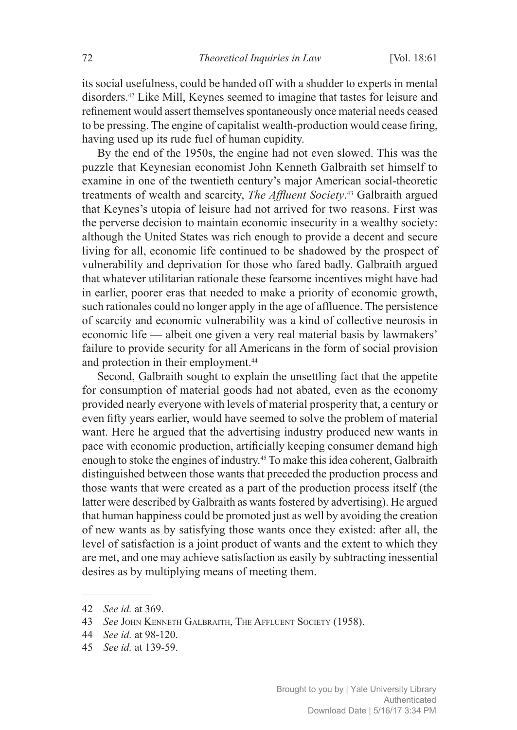its social usefulness, could be handed off with a shudder to experts in mental disorders.42 Like Mill, Keynes seemed to imagine that tastes for leisure and refinement would assert themselves spontaneously once material needs ceased to be pressing. The engine of capitalist wealth-production would cease firing, having used up its rude fuel of human cupidity.

By the end of the 1950s, the engine had not even slowed. This was the puzzle that Keynesian economist John Kenneth Galbraith set himself to examine in one of the twentieth century's major American social-theoretic treatments of wealth and scarcity, *The Affluent Society*. 43 Galbraith argued that Keynes's utopia of leisure had not arrived for two reasons. First was the perverse decision to maintain economic insecurity in a wealthy society: although the United States was rich enough to provide a decent and secure living for all, economic life continued to be shadowed by the prospect of vulnerability and deprivation for those who fared badly. Galbraith argued that whatever utilitarian rationale these fearsome incentives might have had in earlier, poorer eras that needed to make a priority of economic growth, such rationales could no longer apply in the age of affluence. The persistence of scarcity and economic vulnerability was a kind of collective neurosis in economic life — albeit one given a very real material basis by lawmakers' failure to provide security for all Americans in the form of social provision and protection in their employment.<sup>44</sup>

Second, Galbraith sought to explain the unsettling fact that the appetite for consumption of material goods had not abated, even as the economy provided nearly everyone with levels of material prosperity that, a century or even fifty years earlier, would have seemed to solve the problem of material want. Here he argued that the advertising industry produced new wants in pace with economic production, artificially keeping consumer demand high enough to stoke the engines of industry.45 To make this idea coherent, Galbraith distinguished between those wants that preceded the production process and those wants that were created as a part of the production process itself (the latter were described by Galbraith as wants fostered by advertising). He argued that human happiness could be promoted just as well by avoiding the creation of new wants as by satisfying those wants once they existed: after all, the level of satisfaction is a joint product of wants and the extent to which they are met, and one may achieve satisfaction as easily by subtracting inessential desires as by multiplying means of meeting them.

<sup>42</sup> *See id.* at 369.

<sup>43</sup> *See* John Kenneth Galbraith, The Affluent Society (1958).

<sup>44</sup> *See id.* at 98-120.

<sup>45</sup> *See id.* at 139-59.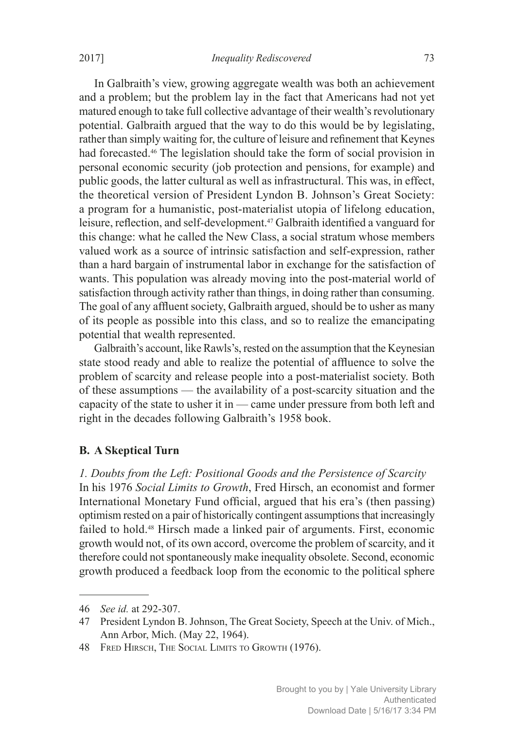In Galbraith's view, growing aggregate wealth was both an achievement and a problem; but the problem lay in the fact that Americans had not yet matured enough to take full collective advantage of their wealth's revolutionary potential. Galbraith argued that the way to do this would be by legislating, rather than simply waiting for, the culture of leisure and refinement that Keynes had forecasted.46 The legislation should take the form of social provision in personal economic security (job protection and pensions, for example) and public goods, the latter cultural as well as infrastructural. This was, in effect, the theoretical version of President Lyndon B. Johnson's Great Society: a program for a humanistic, post-materialist utopia of lifelong education, leisure, reflection, and self-development.47 Galbraith identified a vanguard for this change: what he called the New Class, a social stratum whose members valued work as a source of intrinsic satisfaction and self-expression, rather than a hard bargain of instrumental labor in exchange for the satisfaction of wants. This population was already moving into the post-material world of satisfaction through activity rather than things, in doing rather than consuming. The goal of any affluent society, Galbraith argued, should be to usher as many of its people as possible into this class, and so to realize the emancipating potential that wealth represented.

Galbraith's account, like Rawls's, rested on the assumption that the Keynesian state stood ready and able to realize the potential of affluence to solve the problem of scarcity and release people into a post-materialist society. Both of these assumptions — the availability of a post-scarcity situation and the capacity of the state to usher it in — came under pressure from both left and right in the decades following Galbraith's 1958 book.

#### **B. A Skeptical Turn**

*1. Doubts from the Left: Positional Goods and the Persistence of Scarcity* In his 1976 *Social Limits to Growth*, Fred Hirsch, an economist and former International Monetary Fund official, argued that his era's (then passing) optimism rested on a pair of historically contingent assumptions that increasingly failed to hold.<sup>48</sup> Hirsch made a linked pair of arguments. First, economic growth would not, of its own accord, overcome the problem of scarcity, and it therefore could not spontaneously make inequality obsolete. Second, economic growth produced a feedback loop from the economic to the political sphere

<sup>46</sup> *See id.* at 292-307.

<sup>47</sup> President Lyndon B. Johnson, The Great Society, Speech at the Univ. of Mich., Ann Arbor, Mich. (May 22, 1964).

<sup>48</sup> Fred Hirsch, The Social Limits to Growth (1976).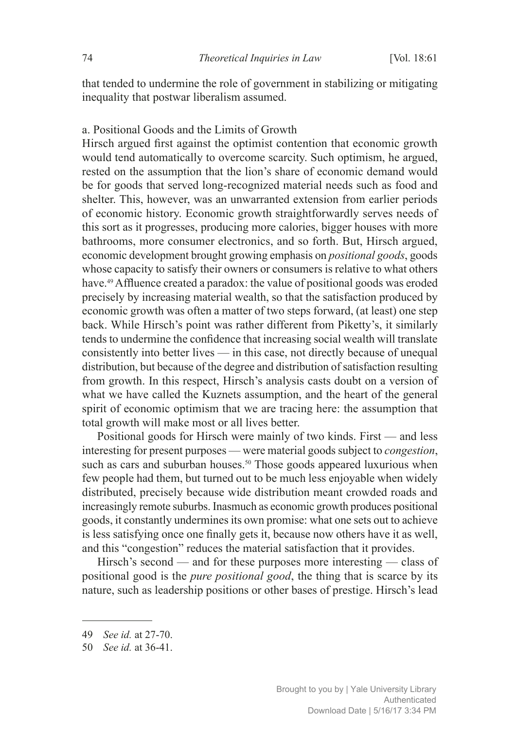that tended to undermine the role of government in stabilizing or mitigating inequality that postwar liberalism assumed.

### a. Positional Goods and the Limits of Growth

Hirsch argued first against the optimist contention that economic growth would tend automatically to overcome scarcity. Such optimism, he argued, rested on the assumption that the lion's share of economic demand would be for goods that served long-recognized material needs such as food and shelter. This, however, was an unwarranted extension from earlier periods of economic history. Economic growth straightforwardly serves needs of this sort as it progresses, producing more calories, bigger houses with more bathrooms, more consumer electronics, and so forth. But, Hirsch argued, economic development brought growing emphasis on *positional goods*, goods whose capacity to satisfy their owners or consumers is relative to what others have.49 Affluence created a paradox: the value of positional goods was eroded precisely by increasing material wealth, so that the satisfaction produced by economic growth was often a matter of two steps forward, (at least) one step back. While Hirsch's point was rather different from Piketty's, it similarly tends to undermine the confidence that increasing social wealth will translate consistently into better lives — in this case, not directly because of unequal distribution, but because of the degree and distribution of satisfaction resulting from growth. In this respect, Hirsch's analysis casts doubt on a version of what we have called the Kuznets assumption, and the heart of the general spirit of economic optimism that we are tracing here: the assumption that total growth will make most or all lives better.

Positional goods for Hirsch were mainly of two kinds. First — and less interesting for present purposes — were material goods subject to *congestion*, such as cars and suburban houses.<sup>50</sup> Those goods appeared luxurious when few people had them, but turned out to be much less enjoyable when widely distributed, precisely because wide distribution meant crowded roads and increasingly remote suburbs. Inasmuch as economic growth produces positional goods, it constantly undermines its own promise: what one sets out to achieve is less satisfying once one finally gets it, because now others have it as well, and this "congestion" reduces the material satisfaction that it provides.

Hirsch's second — and for these purposes more interesting — class of positional good is the *pure positional good*, the thing that is scarce by its nature, such as leadership positions or other bases of prestige. Hirsch's lead

<sup>49</sup> *See id.* at 27-70.

<sup>50</sup> *See id.* at 36-41.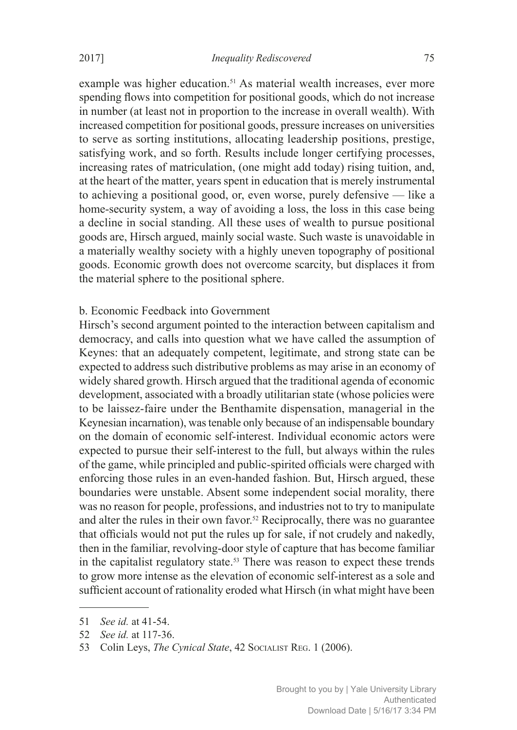example was higher education.<sup>51</sup> As material wealth increases, ever more spending flows into competition for positional goods, which do not increase in number (at least not in proportion to the increase in overall wealth). With increased competition for positional goods, pressure increases on universities to serve as sorting institutions, allocating leadership positions, prestige, satisfying work, and so forth. Results include longer certifying processes, increasing rates of matriculation, (one might add today) rising tuition, and, at the heart of the matter, years spent in education that is merely instrumental to achieving a positional good, or, even worse, purely defensive — like a home-security system, a way of avoiding a loss, the loss in this case being a decline in social standing. All these uses of wealth to pursue positional goods are, Hirsch argued, mainly social waste. Such waste is unavoidable in a materially wealthy society with a highly uneven topography of positional goods. Economic growth does not overcome scarcity, but displaces it from the material sphere to the positional sphere.

# b. Economic Feedback into Government

Hirsch's second argument pointed to the interaction between capitalism and democracy, and calls into question what we have called the assumption of Keynes: that an adequately competent, legitimate, and strong state can be expected to address such distributive problems as may arise in an economy of widely shared growth. Hirsch argued that the traditional agenda of economic development, associated with a broadly utilitarian state (whose policies were to be laissez-faire under the Benthamite dispensation, managerial in the Keynesian incarnation), was tenable only because of an indispensable boundary on the domain of economic self-interest. Individual economic actors were expected to pursue their self-interest to the full, but always within the rules of the game, while principled and public-spirited officials were charged with enforcing those rules in an even-handed fashion. But, Hirsch argued, these boundaries were unstable. Absent some independent social morality, there was no reason for people, professions, and industries not to try to manipulate and alter the rules in their own favor.<sup>52</sup> Reciprocally, there was no guarantee that officials would not put the rules up for sale, if not crudely and nakedly, then in the familiar, revolving-door style of capture that has become familiar in the capitalist regulatory state.<sup>53</sup> There was reason to expect these trends to grow more intense as the elevation of economic self-interest as a sole and sufficient account of rationality eroded what Hirsch (in what might have been

<sup>51</sup> *See id.* at 41-54.

<sup>52</sup> *See id.* at 117-36.

<sup>53</sup> Colin Leys, *The Cynical State*, 42 Socialist Reg. 1 (2006).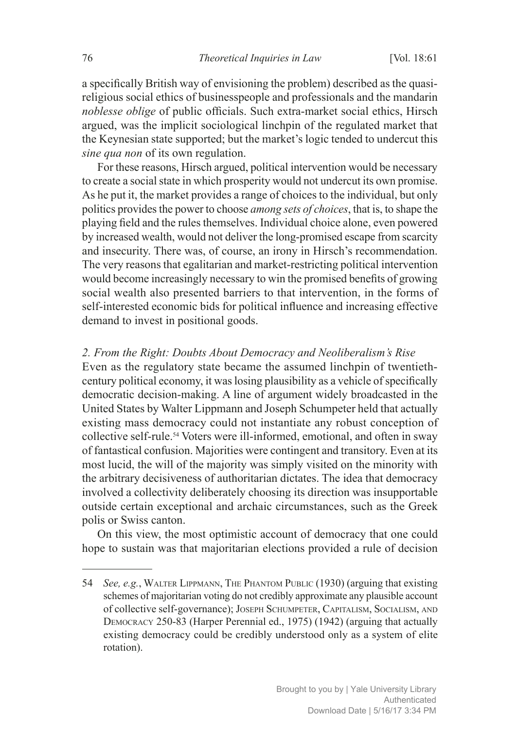a specifically British way of envisioning the problem) described as the quasireligious social ethics of businesspeople and professionals and the mandarin *noblesse oblige* of public officials. Such extra-market social ethics, Hirsch argued, was the implicit sociological linchpin of the regulated market that the Keynesian state supported; but the market's logic tended to undercut this *sine qua non* of its own regulation.

For these reasons, Hirsch argued, political intervention would be necessary to create a social state in which prosperity would not undercut its own promise. As he put it, the market provides a range of choices to the individual, but only politics provides the power to choose *among sets of choices*, that is, to shape the playing field and the rules themselves. Individual choice alone, even powered by increased wealth, would not deliver the long-promised escape from scarcity and insecurity. There was, of course, an irony in Hirsch's recommendation. The very reasons that egalitarian and market-restricting political intervention would become increasingly necessary to win the promised benefits of growing social wealth also presented barriers to that intervention, in the forms of self-interested economic bids for political influence and increasing effective demand to invest in positional goods.

#### *2. From the Right: Doubts About Democracy and Neoliberalism's Rise*

Even as the regulatory state became the assumed linchpin of twentiethcentury political economy, it was losing plausibility as a vehicle of specifically democratic decision-making. A line of argument widely broadcasted in the United States by Walter Lippmann and Joseph Schumpeter held that actually existing mass democracy could not instantiate any robust conception of collective self-rule.54 Voters were ill-informed, emotional, and often in sway of fantastical confusion. Majorities were contingent and transitory. Even at its most lucid, the will of the majority was simply visited on the minority with the arbitrary decisiveness of authoritarian dictates. The idea that democracy involved a collectivity deliberately choosing its direction was insupportable outside certain exceptional and archaic circumstances, such as the Greek polis or Swiss canton.

On this view, the most optimistic account of democracy that one could hope to sustain was that majoritarian elections provided a rule of decision

<sup>54</sup> *See, e.g.*, Walter Lippmann, The Phantom Public (1930) (arguing that existing schemes of majoritarian voting do not credibly approximate any plausible account of collective self-governance); Joseph Schumpeter, Capitalism, Socialism, and Democracy 250-83 (Harper Perennial ed., 1975) (1942) (arguing that actually existing democracy could be credibly understood only as a system of elite rotation).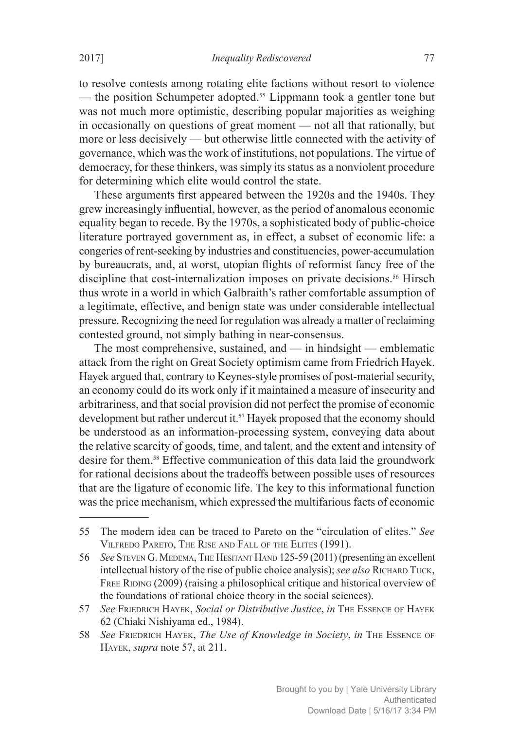to resolve contests among rotating elite factions without resort to violence — the position Schumpeter adopted.<sup>55</sup> Lippmann took a gentler tone but was not much more optimistic, describing popular majorities as weighing in occasionally on questions of great moment — not all that rationally, but more or less decisively — but otherwise little connected with the activity of governance, which was the work of institutions, not populations. The virtue of democracy, for these thinkers, was simply its status as a nonviolent procedure for determining which elite would control the state.

These arguments first appeared between the 1920s and the 1940s. They grew increasingly influential, however, as the period of anomalous economic equality began to recede. By the 1970s, a sophisticated body of public-choice literature portrayed government as, in effect, a subset of economic life: a congeries of rent-seeking by industries and constituencies, power-accumulation by bureaucrats, and, at worst, utopian flights of reformist fancy free of the discipline that cost-internalization imposes on private decisions.<sup>56</sup> Hirsch thus wrote in a world in which Galbraith's rather comfortable assumption of a legitimate, effective, and benign state was under considerable intellectual pressure. Recognizing the need for regulation was already a matter of reclaiming contested ground, not simply bathing in near-consensus.

The most comprehensive, sustained, and — in hindsight — emblematic attack from the right on Great Society optimism came from Friedrich Hayek. Hayek argued that, contrary to Keynes-style promises of post-material security, an economy could do its work only if it maintained a measure of insecurity and arbitrariness, and that social provision did not perfect the promise of economic development but rather undercut it.<sup>57</sup> Hayek proposed that the economy should be understood as an information-processing system, conveying data about the relative scarcity of goods, time, and talent, and the extent and intensity of desire for them.58 Effective communication of this data laid the groundwork for rational decisions about the tradeoffs between possible uses of resources that are the ligature of economic life. The key to this informational function was the price mechanism, which expressed the multifarious facts of economic

<sup>55</sup> The modern idea can be traced to Pareto on the "circulation of elites." *See* Vilfredo Pareto, The Rise and Fall of the Elites (1991).

<sup>56</sup> *See* Steven G. Medema, The Hesitant Hand 125-59 (2011) (presenting an excellent intellectual history of the rise of public choice analysis); *see also* RICHARD TUCK, FREE RIDING (2009) (raising a philosophical critique and historical overview of the foundations of rational choice theory in the social sciences).

<sup>57</sup> *See* Friedrich Hayek, *Social or Distributive Justice*, *in* The Essence of Hayek 62 (Chiaki Nishiyama ed., 1984).

<sup>58</sup> *See* Friedrich Hayek, *The Use of Knowledge in Society*, *in* The Essence of Hayek, *supra* note 57, at 211.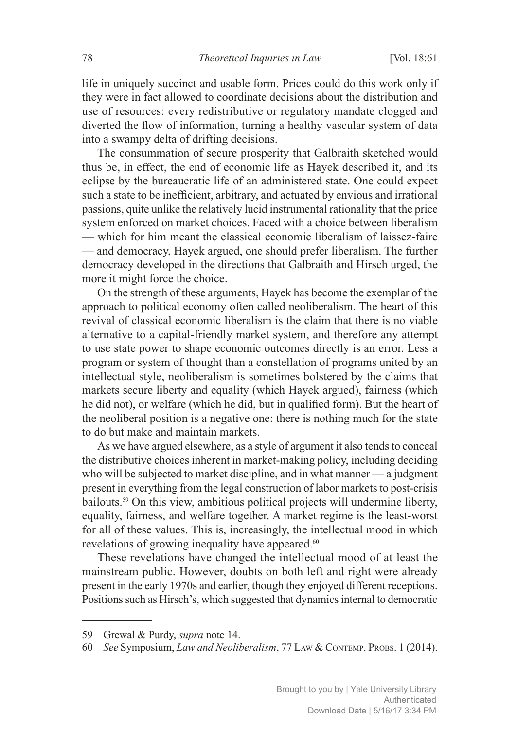life in uniquely succinct and usable form. Prices could do this work only if they were in fact allowed to coordinate decisions about the distribution and use of resources: every redistributive or regulatory mandate clogged and diverted the flow of information, turning a healthy vascular system of data into a swampy delta of drifting decisions.

The consummation of secure prosperity that Galbraith sketched would thus be, in effect, the end of economic life as Hayek described it, and its eclipse by the bureaucratic life of an administered state. One could expect such a state to be inefficient, arbitrary, and actuated by envious and irrational passions, quite unlike the relatively lucid instrumental rationality that the price system enforced on market choices. Faced with a choice between liberalism — which for him meant the classical economic liberalism of laissez-faire — and democracy, Hayek argued, one should prefer liberalism. The further democracy developed in the directions that Galbraith and Hirsch urged, the more it might force the choice.

On the strength of these arguments, Hayek has become the exemplar of the approach to political economy often called neoliberalism. The heart of this revival of classical economic liberalism is the claim that there is no viable alternative to a capital-friendly market system, and therefore any attempt to use state power to shape economic outcomes directly is an error. Less a program or system of thought than a constellation of programs united by an intellectual style, neoliberalism is sometimes bolstered by the claims that markets secure liberty and equality (which Hayek argued), fairness (which he did not), or welfare (which he did, but in qualified form). But the heart of the neoliberal position is a negative one: there is nothing much for the state to do but make and maintain markets.

As we have argued elsewhere, as a style of argument it also tends to conceal the distributive choices inherent in market-making policy, including deciding who will be subjected to market discipline, and in what manner — a judgment present in everything from the legal construction of labor markets to post-crisis bailouts.59 On this view, ambitious political projects will undermine liberty, equality, fairness, and welfare together. A market regime is the least-worst for all of these values. This is, increasingly, the intellectual mood in which revelations of growing inequality have appeared.<sup>60</sup>

These revelations have changed the intellectual mood of at least the mainstream public. However, doubts on both left and right were already present in the early 1970s and earlier, though they enjoyed different receptions. Positions such as Hirsch's, which suggested that dynamics internal to democratic

<sup>59</sup> Grewal & Purdy, *supra* note 14.

<sup>60</sup> *See* Symposium, *Law and Neoliberalism*, 77 Law & Contemp. Probs. 1 (2014).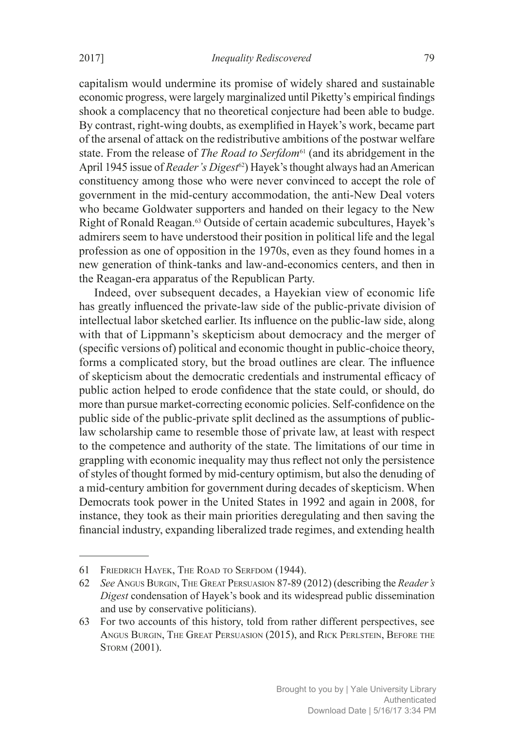capitalism would undermine its promise of widely shared and sustainable economic progress, were largely marginalized until Piketty's empirical findings shook a complacency that no theoretical conjecture had been able to budge. By contrast, right-wing doubts, as exemplified in Hayek's work, became part of the arsenal of attack on the redistributive ambitions of the postwar welfare state. From the release of *The Road to Serfdom*<sup>61</sup> (and its abridgement in the April 1945 issue of *Reader's Digest<sup>62</sup>*) Hayek's thought always had an American constituency among those who were never convinced to accept the role of government in the mid-century accommodation, the anti-New Deal voters who became Goldwater supporters and handed on their legacy to the New Right of Ronald Reagan.<sup>63</sup> Outside of certain academic subcultures, Hayek's admirers seem to have understood their position in political life and the legal profession as one of opposition in the 1970s, even as they found homes in a new generation of think-tanks and law-and-economics centers, and then in the Reagan-era apparatus of the Republican Party.

Indeed, over subsequent decades, a Hayekian view of economic life has greatly influenced the private-law side of the public-private division of intellectual labor sketched earlier. Its influence on the public-law side, along with that of Lippmann's skepticism about democracy and the merger of (specific versions of) political and economic thought in public-choice theory, forms a complicated story, but the broad outlines are clear. The influence of skepticism about the democratic credentials and instrumental efficacy of public action helped to erode confidence that the state could, or should, do more than pursue market-correcting economic policies. Self-confidence on the public side of the public-private split declined as the assumptions of publiclaw scholarship came to resemble those of private law, at least with respect to the competence and authority of the state. The limitations of our time in grappling with economic inequality may thus reflect not only the persistence of styles of thought formed by mid-century optimism, but also the denuding of a mid-century ambition for government during decades of skepticism. When Democrats took power in the United States in 1992 and again in 2008, for instance, they took as their main priorities deregulating and then saving the financial industry, expanding liberalized trade regimes, and extending health

<sup>61</sup> Friedrich Hayek, The Road to Serfdom (1944).

<sup>62</sup> *See* Angus Burgin, The Great Persuasion 87-89 (2012) (describing the *Reader's Digest* condensation of Hayek's book and its widespread public dissemination and use by conservative politicians).

<sup>63</sup> For two accounts of this history, told from rather different perspectives, see ANGUS BURGIN, THE GREAT PERSUASION (2015), and RICK PERLSTEIN, BEFORE THE Storm (2001).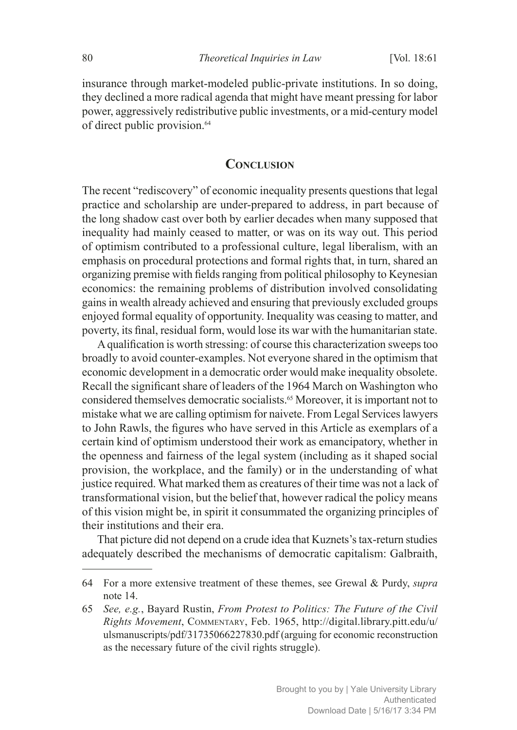insurance through market-modeled public-private institutions. In so doing, they declined a more radical agenda that might have meant pressing for labor power, aggressively redistributive public investments, or a mid-century model of direct public provision.<sup>64</sup>

### **Conclusion**

The recent "rediscovery" of economic inequality presents questions that legal practice and scholarship are under-prepared to address, in part because of the long shadow cast over both by earlier decades when many supposed that inequality had mainly ceased to matter, or was on its way out. This period of optimism contributed to a professional culture, legal liberalism, with an emphasis on procedural protections and formal rights that, in turn, shared an organizing premise with fields ranging from political philosophy to Keynesian economics: the remaining problems of distribution involved consolidating gains in wealth already achieved and ensuring that previously excluded groups enjoyed formal equality of opportunity. Inequality was ceasing to matter, and poverty, its final, residual form, would lose its war with the humanitarian state.

A qualification is worth stressing: of course this characterization sweeps too broadly to avoid counter-examples. Not everyone shared in the optimism that economic development in a democratic order would make inequality obsolete. Recall the significant share of leaders of the 1964 March on Washington who considered themselves democratic socialists.65 Moreover, it is important not to mistake what we are calling optimism for naivete. From Legal Services lawyers to John Rawls, the figures who have served in this Article as exemplars of a certain kind of optimism understood their work as emancipatory, whether in the openness and fairness of the legal system (including as it shaped social provision, the workplace, and the family) or in the understanding of what justice required. What marked them as creatures of their time was not a lack of transformational vision, but the belief that, however radical the policy means of this vision might be, in spirit it consummated the organizing principles of their institutions and their era.

That picture did not depend on a crude idea that Kuznets's tax-return studies adequately described the mechanisms of democratic capitalism: Galbraith,

<sup>64</sup> For a more extensive treatment of these themes, see Grewal & Purdy, *supra* note 14.

<sup>65</sup> *See, e.g.*, Bayard Rustin, *From Protest to Politics: The Future of the Civil Rights Movement*, Commentary, Feb. 1965, http://digital.library.pitt.edu/u/ ulsmanuscripts/pdf/31735066227830.pdf (arguing for economic reconstruction as the necessary future of the civil rights struggle).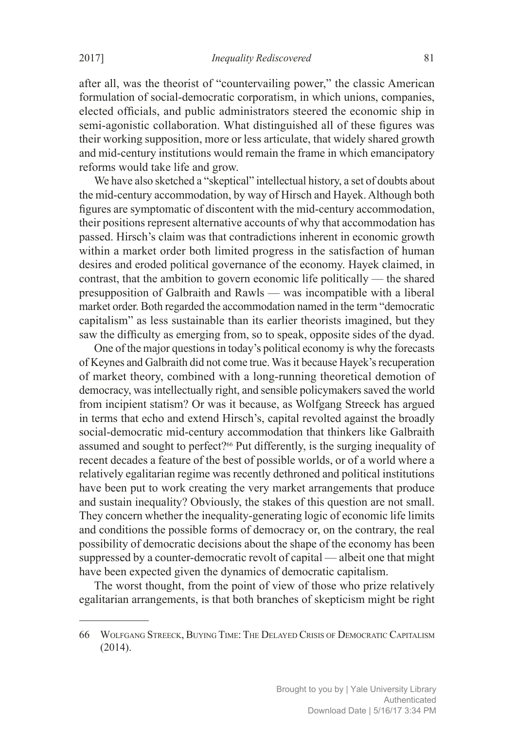after all, was the theorist of "countervailing power," the classic American formulation of social-democratic corporatism, in which unions, companies, elected officials, and public administrators steered the economic ship in semi-agonistic collaboration. What distinguished all of these figures was their working supposition, more or less articulate, that widely shared growth and mid-century institutions would remain the frame in which emancipatory reforms would take life and grow.

We have also sketched a "skeptical" intellectual history, a set of doubts about the mid-century accommodation, by way of Hirsch and Hayek. Although both figures are symptomatic of discontent with the mid-century accommodation, their positions represent alternative accounts of why that accommodation has passed. Hirsch's claim was that contradictions inherent in economic growth within a market order both limited progress in the satisfaction of human desires and eroded political governance of the economy. Hayek claimed, in contrast, that the ambition to govern economic life politically — the shared presupposition of Galbraith and Rawls — was incompatible with a liberal market order. Both regarded the accommodation named in the term "democratic capitalism" as less sustainable than its earlier theorists imagined, but they saw the difficulty as emerging from, so to speak, opposite sides of the dyad.

One of the major questions in today's political economy is why the forecasts of Keynes and Galbraith did not come true. Was it because Hayek's recuperation of market theory, combined with a long-running theoretical demotion of democracy, was intellectually right, and sensible policymakers saved the world from incipient statism? Or was it because, as Wolfgang Streeck has argued in terms that echo and extend Hirsch's, capital revolted against the broadly social-democratic mid-century accommodation that thinkers like Galbraith assumed and sought to perfect?<sup>66</sup> Put differently, is the surging inequality of recent decades a feature of the best of possible worlds, or of a world where a relatively egalitarian regime was recently dethroned and political institutions have been put to work creating the very market arrangements that produce and sustain inequality? Obviously, the stakes of this question are not small. They concern whether the inequality-generating logic of economic life limits and conditions the possible forms of democracy or, on the contrary, the real possibility of democratic decisions about the shape of the economy has been suppressed by a counter-democratic revolt of capital — albeit one that might have been expected given the dynamics of democratic capitalism.

The worst thought, from the point of view of those who prize relatively egalitarian arrangements, is that both branches of skepticism might be right

<sup>66</sup> Wolfgang Streeck, Buying Time: The Delayed Crisis of Democratic Capitalism (2014).